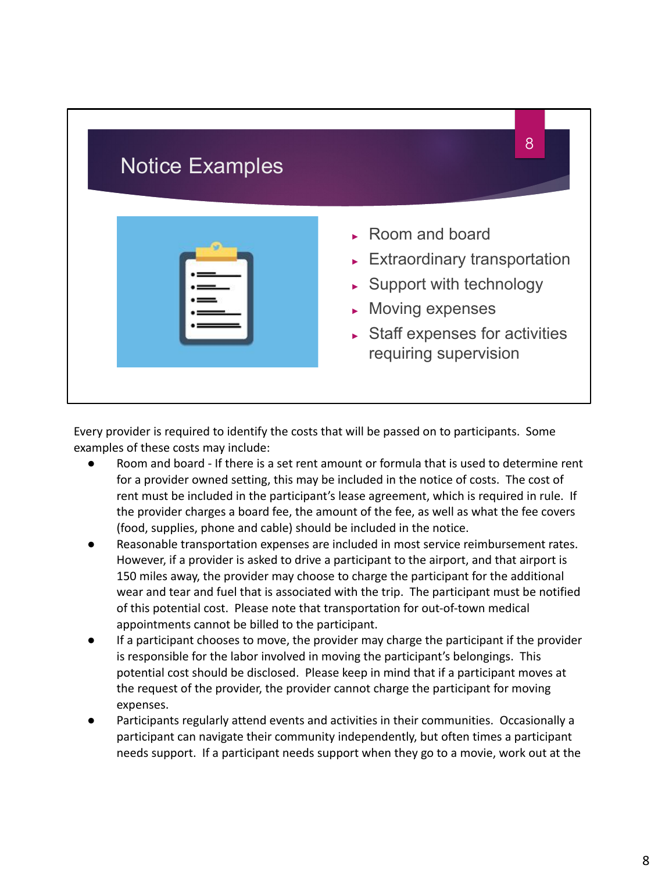| <b>Notice Examples</b> | 8                                                                                                                                                                                                                                           |
|------------------------|---------------------------------------------------------------------------------------------------------------------------------------------------------------------------------------------------------------------------------------------|
|                        | $\triangleright$ Room and board<br>$\triangleright$ Extraordinary transportation<br>$\triangleright$ Support with technology<br>$\triangleright$ Moving expenses<br>$\triangleright$ Staff expenses for activities<br>requiring supervision |

Every provider is required to identify the costs that will be passed on to participants. Some examples of these costs may include:

- Room and board If there is a set rent amount or formula that is used to determine rent for a provider owned setting, this may be included in the notice of costs. The cost of rent must be included in the participant's lease agreement, which is required in rule. If the provider charges a board fee, the amount of the fee, as well as what the fee covers (food, supplies, phone and cable) should be included in the notice.
- Reasonable transportation expenses are included in most service reimbursement rates. However, if a provider is asked to drive a participant to the airport, and that airport is 150 miles away, the provider may choose to charge the participant for the additional wear and tear and fuel that is associated with the trip. The participant must be notified of this potential cost. Please note that transportation for out-of-town medical appointments cannot be billed to the participant.
- If a participant chooses to move, the provider may charge the participant if the provider is responsible for the labor involved in moving the participant's belongings. This potential cost should be disclosed. Please keep in mind that if a participant moves at the request of the provider, the provider cannot charge the participant for moving expenses.
- Participants regularly attend events and activities in their communities. Occasionally a participant can navigate their community independently, but often times a participant needs support. If a participant needs support when they go to a movie, work out at the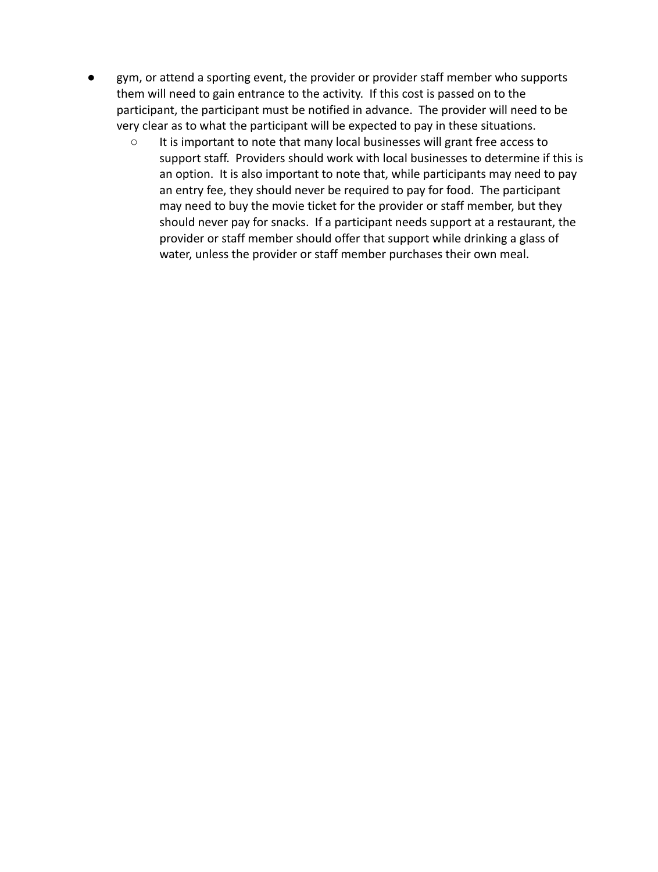- gym, or attend a sporting event, the provider or provider staff member who supports them will need to gain entrance to the activity. If this cost is passed on to the participant, the participant must be notified in advance. The provider will need to be very clear as to what the participant will be expected to pay in these situations.
	- It is important to note that many local businesses will grant free access to support staff. Providers should work with local businesses to determine if this is an option. It is also important to note that, while participants may need to pay an entry fee, they should never be required to pay for food. The participant may need to buy the movie ticket for the provider or staff member, but they should never pay for snacks. If a participant needs support at a restaurant, the provider or staff member should offer that support while drinking a glass of water, unless the provider or staff member purchases their own meal.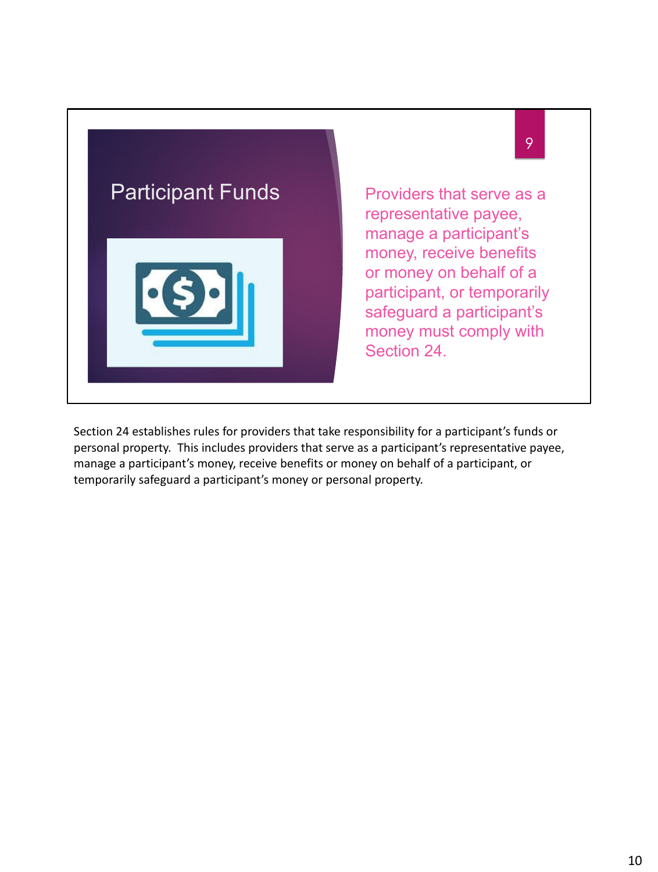

Section 24 establishes rules for providers that take responsibility for a participant's funds or personal property. This includes providers that serve as a participant's representative payee, manage a participant's money, receive benefits or money on behalf of a participant, or temporarily safeguard a participant's money or personal property.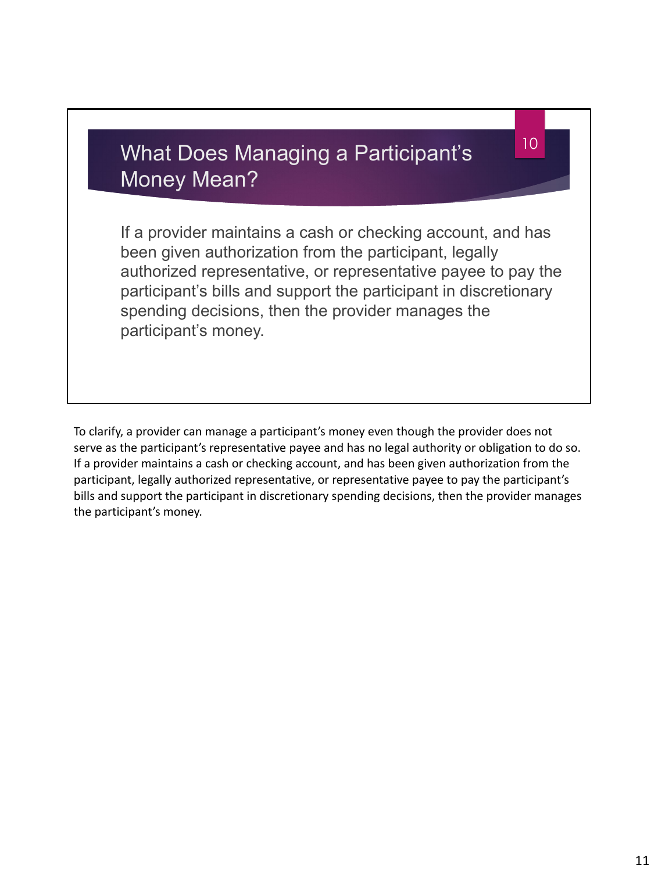## What Does Managing a Participant's Money Mean?

If a provider maintains a cash or checking account, and has been given authorization from the participant, legally authorized representative, or representative payee to pay the participant's bills and support the participant in discretionary spending decisions, then the provider manages the participant's money.

10

To clarify, a provider can manage a participant's money even though the provider does not serve as the participant's representative payee and has no legal authority or obligation to do so. If a provider maintains a cash or checking account, and has been given authorization from the participant, legally authorized representative, or representative payee to pay the participant's bills and support the participant in discretionary spending decisions, then the provider manages the participant's money.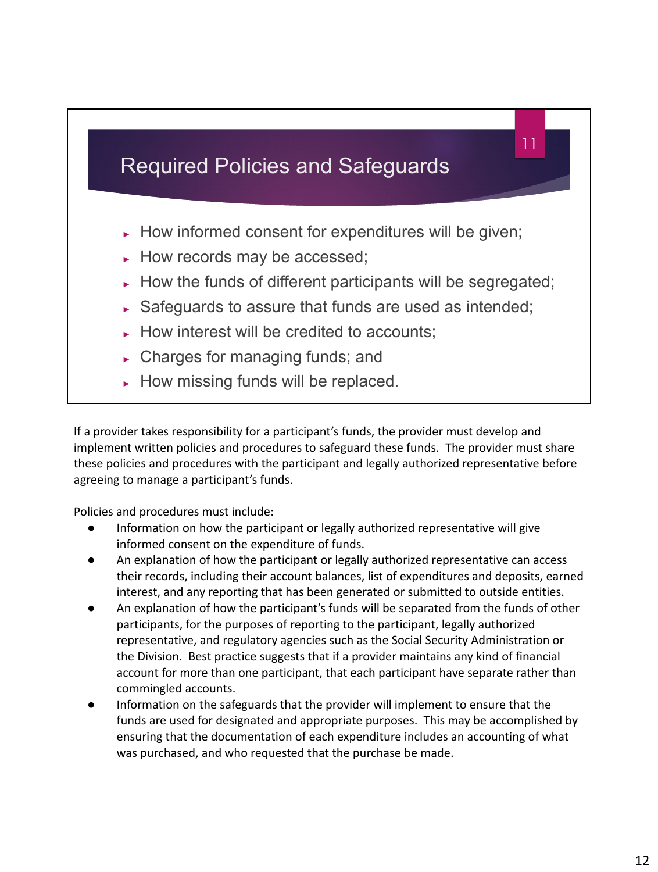

If a provider takes responsibility for a participant's funds, the provider must develop and implement written policies and procedures to safeguard these funds. The provider must share these policies and procedures with the participant and legally authorized representative before agreeing to manage a participant's funds.

Policies and procedures must include:

- Information on how the participant or legally authorized representative will give informed consent on the expenditure of funds.
- An explanation of how the participant or legally authorized representative can access their records, including their account balances, list of expenditures and deposits, earned interest, and any reporting that has been generated or submitted to outside entities.
- An explanation of how the participant's funds will be separated from the funds of other participants, for the purposes of reporting to the participant, legally authorized representative, and regulatory agencies such as the Social Security Administration or the Division. Best practice suggests that if a provider maintains any kind of financial account for more than one participant, that each participant have separate rather than commingled accounts.
- Information on the safeguards that the provider will implement to ensure that the funds are used for designated and appropriate purposes. This may be accomplished by ensuring that the documentation of each expenditure includes an accounting of what was purchased, and who requested that the purchase be made.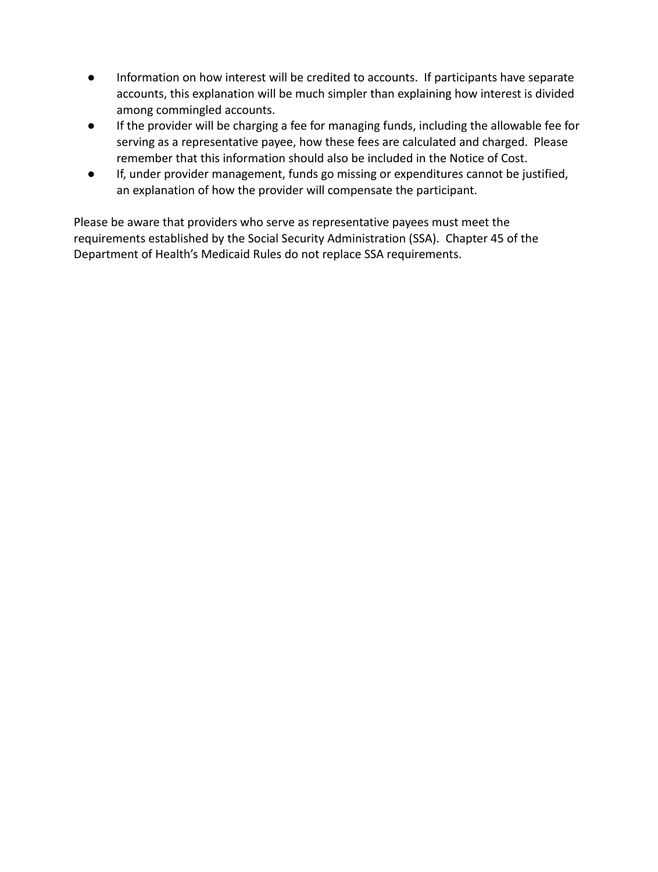- Information on how interest will be credited to accounts. If participants have separate accounts, this explanation will be much simpler than explaining how interest is divided among commingled accounts.
- If the provider will be charging a fee for managing funds, including the allowable fee for serving as a representative payee, how these fees are calculated and charged. Please remember that this information should also be included in the Notice of Cost.
- If, under provider management, funds go missing or expenditures cannot be justified, an explanation of how the provider will compensate the participant.

Please be aware that providers who serve as representative payees must meet the requirements established by the Social Security Administration (SSA). Chapter 45 of the Department of Health's Medicaid Rules do not replace SSA requirements.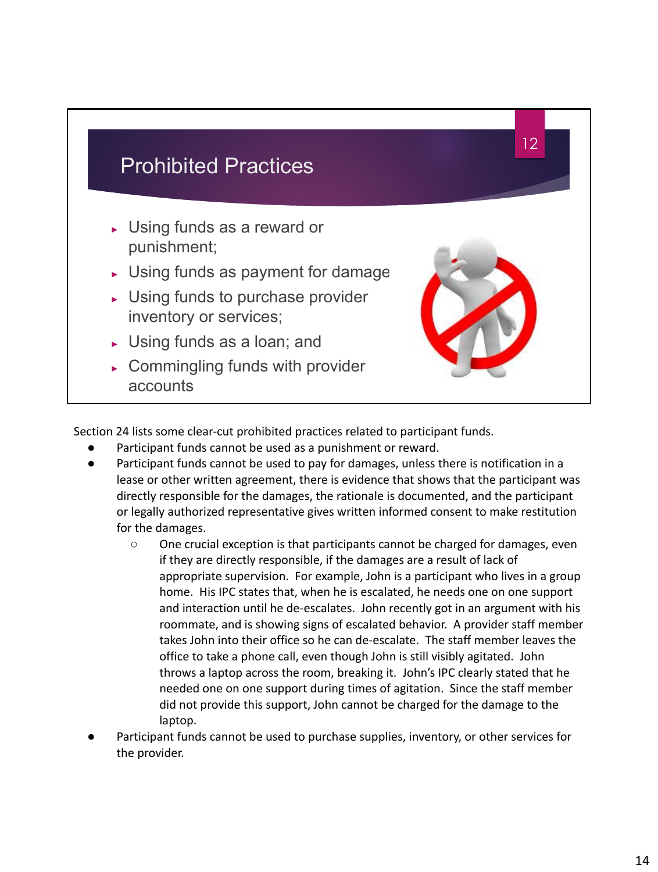

Section 24 lists some clear-cut prohibited practices related to participant funds.

- Participant funds cannot be used as a punishment or reward.
- Participant funds cannot be used to pay for damages, unless there is notification in a lease or other written agreement, there is evidence that shows that the participant was directly responsible for the damages, the rationale is documented, and the participant or legally authorized representative gives written informed consent to make restitution for the damages.
	- One crucial exception is that participants cannot be charged for damages, even if they are directly responsible, if the damages are a result of lack of appropriate supervision. For example, John is a participant who lives in a group home. His IPC states that, when he is escalated, he needs one on one support and interaction until he de-escalates. John recently got in an argument with his roommate, and is showing signs of escalated behavior. A provider staff member takes John into their office so he can de-escalate. The staff member leaves the office to take a phone call, even though John is still visibly agitated. John throws a laptop across the room, breaking it. John's IPC clearly stated that he needed one on one support during times of agitation. Since the staff member did not provide this support, John cannot be charged for the damage to the laptop.
- Participant funds cannot be used to purchase supplies, inventory, or other services for the provider.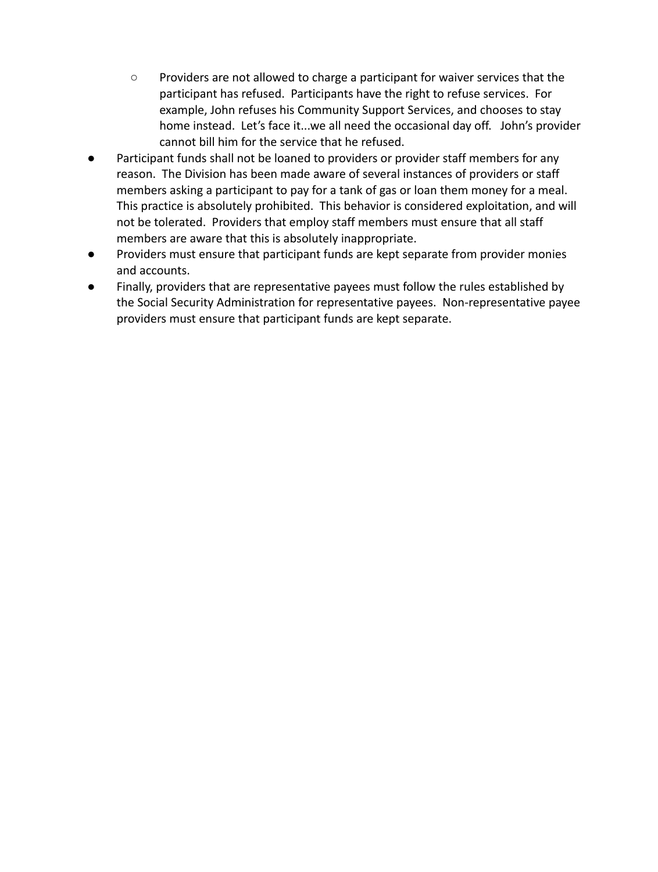- Providers are not allowed to charge a participant for waiver services that the participant has refused. Participants have the right to refuse services. For example, John refuses his Community Support Services, and chooses to stay home instead. Let's face it...we all need the occasional day off. John's provider cannot bill him for the service that he refused.
- Participant funds shall not be loaned to providers or provider staff members for any reason. The Division has been made aware of several instances of providers or staff members asking a participant to pay for a tank of gas or loan them money for a meal. This practice is absolutely prohibited. This behavior is considered exploitation, and will not be tolerated. Providers that employ staff members must ensure that all staff members are aware that this is absolutely inappropriate.
- Providers must ensure that participant funds are kept separate from provider monies and accounts.
- Finally, providers that are representative payees must follow the rules established by the Social Security Administration for representative payees. Non-representative payee providers must ensure that participant funds are kept separate.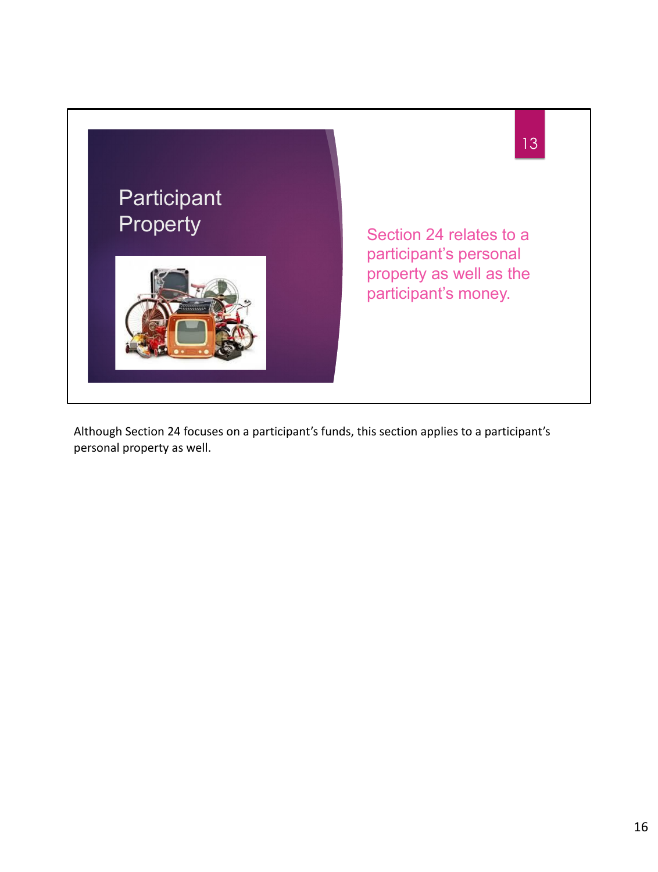

Although Section 24 focuses on a participant's funds, this section applies to a participant's personal property as well.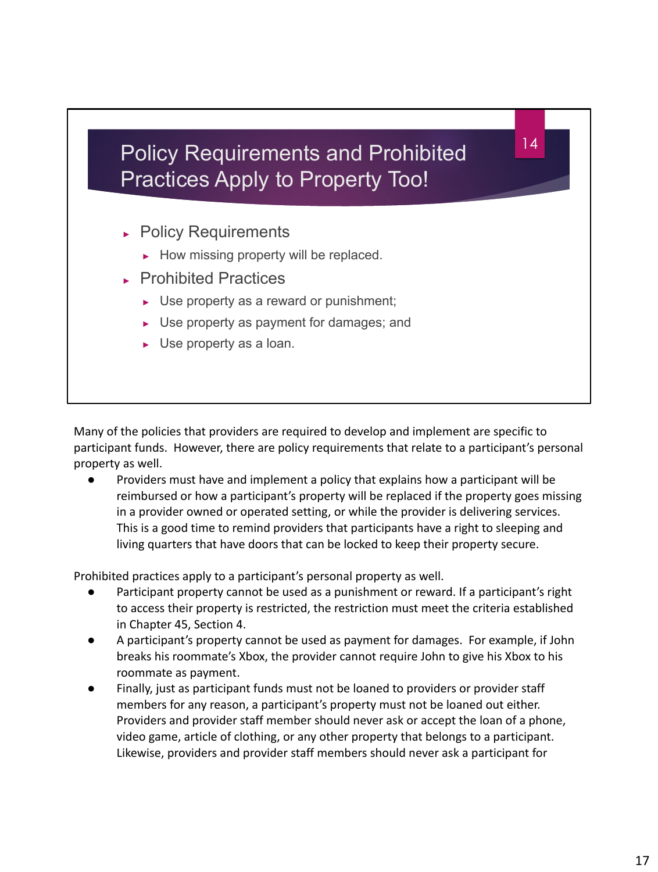## Policy Requirements and Prohibited Practices Apply to Property Too!

14

- ► Policy Requirements
	- ► How missing property will be replaced.
- ► Prohibited Practices
	- ► Use property as a reward or punishment;
	- ► Use property as payment for damages; and
	- ► Use property as a loan.

Many of the policies that providers are required to develop and implement are specific to participant funds. However, there are policy requirements that relate to a participant's personal property as well.

● Providers must have and implement a policy that explains how a participant will be reimbursed or how a participant's property will be replaced if the property goes missing in a provider owned or operated setting, or while the provider is delivering services. This is a good time to remind providers that participants have a right to sleeping and living quarters that have doors that can be locked to keep their property secure.

Prohibited practices apply to a participant's personal property as well.

- Participant property cannot be used as a punishment or reward. If a participant's right to access their property is restricted, the restriction must meet the criteria established in Chapter 45, Section 4.
- A participant's property cannot be used as payment for damages. For example, if John breaks his roommate's Xbox, the provider cannot require John to give his Xbox to his roommate as payment.
- Finally, just as participant funds must not be loaned to providers or provider staff members for any reason, a participant's property must not be loaned out either. Providers and provider staff member should never ask or accept the loan of a phone, video game, article of clothing, or any other property that belongs to a participant. Likewise, providers and provider staff members should never ask a participant for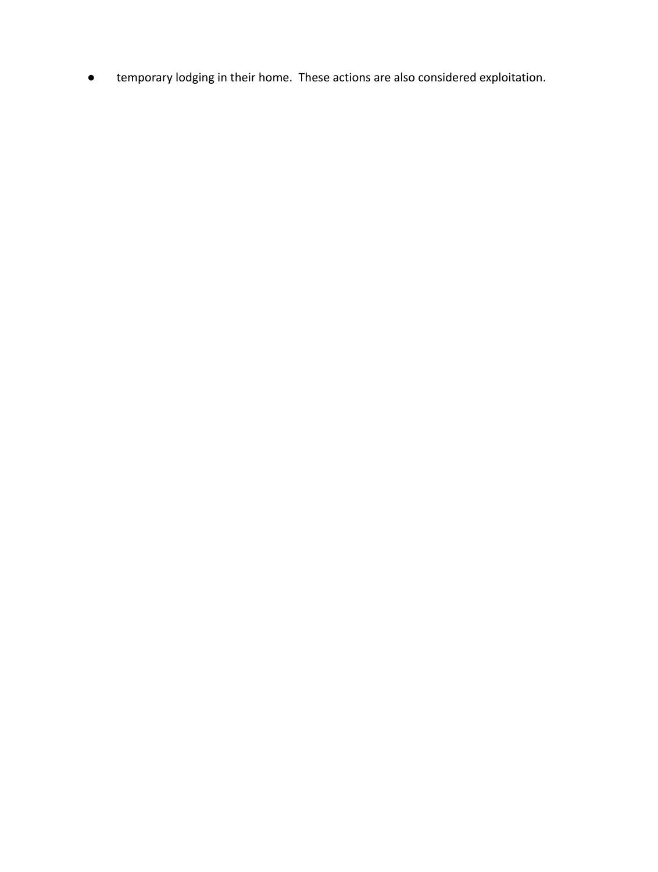● temporary lodging in their home. These actions are also considered exploitation.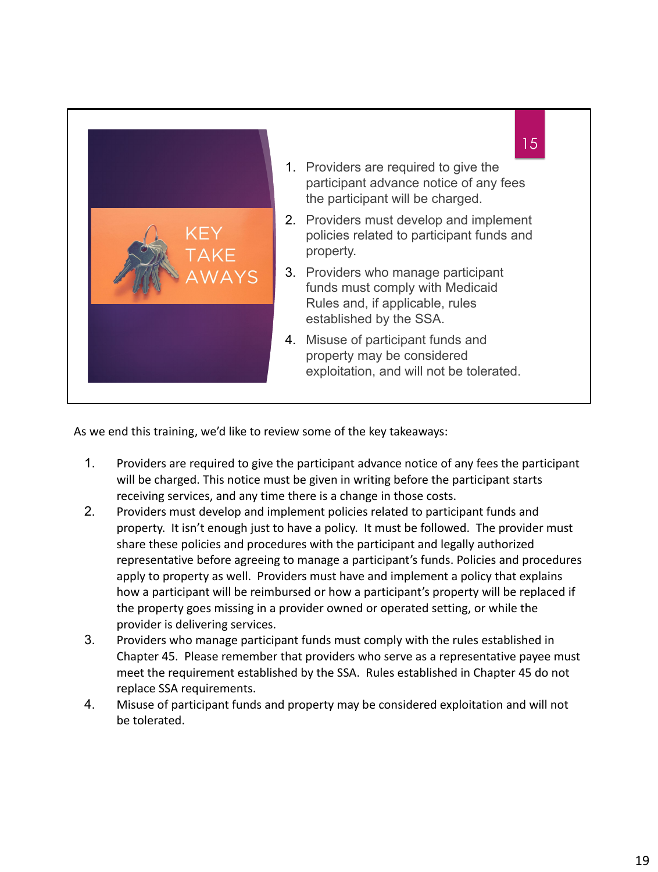

As we end this training, we'd like to review some of the key takeaways:

- 1. Providers are required to give the participant advance notice of any fees the participant will be charged. This notice must be given in writing before the participant starts receiving services, and any time there is a change in those costs.
- 2. Providers must develop and implement policies related to participant funds and property. It isn't enough just to have a policy. It must be followed. The provider must share these policies and procedures with the participant and legally authorized representative before agreeing to manage a participant's funds. Policies and procedures apply to property as well. Providers must have and implement a policy that explains how a participant will be reimbursed or how a participant's property will be replaced if the property goes missing in a provider owned or operated setting, or while the provider is delivering services.
- 3. Providers who manage participant funds must comply with the rules established in Chapter 45. Please remember that providers who serve as a representative payee must meet the requirement established by the SSA. Rules established in Chapter 45 do not replace SSA requirements.
- 4. Misuse of participant funds and property may be considered exploitation and will not be tolerated.